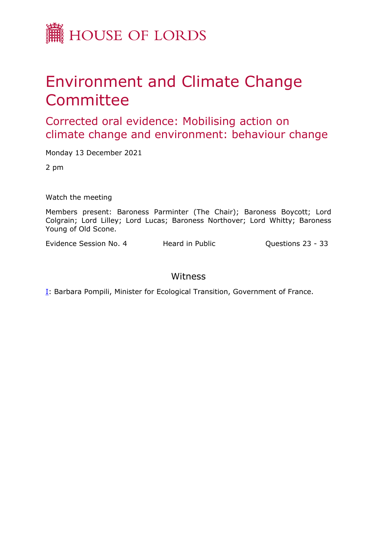

## Environment and Climate Change **Committee**

Corrected oral evidence: Mobilising action on climate change and environment: behaviour change

Monday 13 December 2021

2 pm

Watch the meeting

Members present: Baroness Parminter (The Chair); Baroness Boycott; Lord Colgrain; Lord Lilley; Lord Lucas; Baroness Northover; Lord Whitty; Baroness Young of Old Scone.

Evidence Session No. 4 Heard in Public **Questions 23 - 33** 

## Witness

[I:](#page-1-0) Barbara Pompili, Minister for Ecological Transition, Government of France.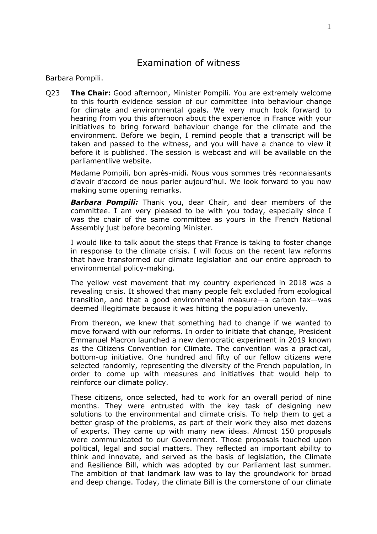## <span id="page-1-0"></span>Examination of witness

Barbara Pompili.

Q23 **The Chair:** Good afternoon, Minister Pompili. You are extremely welcome to this fourth evidence session of our committee into behaviour change for climate and environmental goals. We very much look forward to hearing from you this afternoon about the experience in France with your initiatives to bring forward behaviour change for the climate and the environment. Before we begin, I remind people that a transcript will be taken and passed to the witness, and you will have a chance to view it before it is published. The session is webcast and will be available on the parliamentlive website.

Madame Pompili, bon après-midi. Nous vous sommes très reconnaissants d'avoir d'accord de nous parler aujourd'hui. We look forward to you now making some opening remarks.

*Barbara Pompili:* Thank you, dear Chair, and dear members of the committee. I am very pleased to be with you today, especially since I was the chair of the same committee as yours in the French National Assembly just before becoming Minister.

I would like to talk about the steps that France is taking to foster change in response to the climate crisis. I will focus on the recent law reforms that have transformed our climate legislation and our entire approach to environmental policy-making.

The yellow vest movement that my country experienced in 2018 was a revealing crisis. It showed that many people felt excluded from ecological transition, and that a good environmental measure—a carbon tax—was deemed illegitimate because it was hitting the population unevenly.

From thereon, we knew that something had to change if we wanted to move forward with our reforms. In order to initiate that change, President Emmanuel Macron launched a new democratic experiment in 2019 known as the Citizens Convention for Climate. The convention was a practical, bottom-up initiative. One hundred and fifty of our fellow citizens were selected randomly, representing the diversity of the French population, in order to come up with measures and initiatives that would help to reinforce our climate policy.

These citizens, once selected, had to work for an overall period of nine months. They were entrusted with the key task of designing new solutions to the environmental and climate crisis. To help them to get a better grasp of the problems, as part of their work they also met dozens of experts. They came up with many new ideas. Almost 150 proposals were communicated to our Government. Those proposals touched upon political, legal and social matters. They reflected an important ability to think and innovate, and served as the basis of legislation, the Climate and Resilience Bill, which was adopted by our Parliament last summer. The ambition of that landmark law was to lay the groundwork for broad and deep change. Today, the climate Bill is the cornerstone of our climate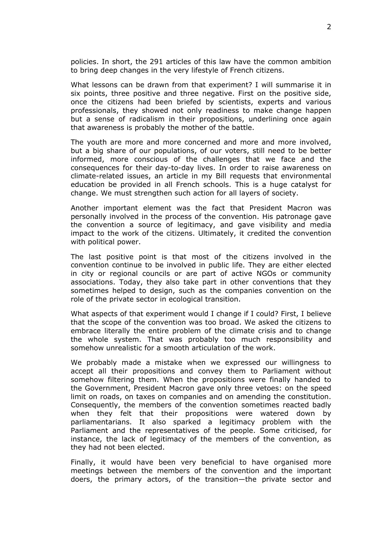policies. In short, the 291 articles of this law have the common ambition to bring deep changes in the very lifestyle of French citizens.

What lessons can be drawn from that experiment? I will summarise it in six points, three positive and three negative. First on the positive side, once the citizens had been briefed by scientists, experts and various professionals, they showed not only readiness to make change happen but a sense of radicalism in their propositions, underlining once again that awareness is probably the mother of the battle.

The youth are more and more concerned and more and more involved, but a big share of our populations, of our voters, still need to be better informed, more conscious of the challenges that we face and the consequences for their day-to-day lives. In order to raise awareness on climate-related issues, an article in my Bill requests that environmental education be provided in all French schools. This is a huge catalyst for change. We must strengthen such action for all layers of society.

Another important element was the fact that President Macron was personally involved in the process of the convention. His patronage gave the convention a source of legitimacy, and gave visibility and media impact to the work of the citizens. Ultimately, it credited the convention with political power.

The last positive point is that most of the citizens involved in the convention continue to be involved in public life. They are either elected in city or regional councils or are part of active NGOs or community associations. Today, they also take part in other conventions that they sometimes helped to design, such as the companies convention on the role of the private sector in ecological transition.

What aspects of that experiment would I change if I could? First, I believe that the scope of the convention was too broad. We asked the citizens to embrace literally the entire problem of the climate crisis and to change the whole system. That was probably too much responsibility and somehow unrealistic for a smooth articulation of the work.

We probably made a mistake when we expressed our willingness to accept all their propositions and convey them to Parliament without somehow filtering them. When the propositions were finally handed to the Government, President Macron gave only three vetoes: on the speed limit on roads, on taxes on companies and on amending the constitution. Consequently, the members of the convention sometimes reacted badly when they felt that their propositions were watered down by parliamentarians. It also sparked a legitimacy problem with the Parliament and the representatives of the people. Some criticised, for instance, the lack of legitimacy of the members of the convention, as they had not been elected.

Finally, it would have been very beneficial to have organised more meetings between the members of the convention and the important doers, the primary actors, of the transition—the private sector and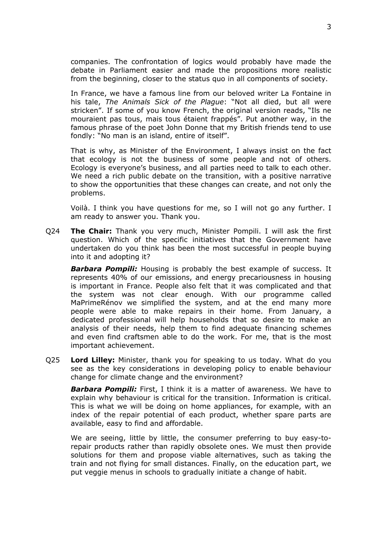companies. The confrontation of logics would probably have made the debate in Parliament easier and made the propositions more realistic from the beginning, closer to the status quo in all components of society.

In France, we have a famous line from our beloved writer La Fontaine in his tale, *The Animals Sick of the Plague*: "Not all died, but all were stricken". If some of you know French, the original version reads, "Ils ne mouraient pas tous, mais tous étaient frappés". Put another way, in the famous phrase of the poet John Donne that my British friends tend to use fondly: "No man is an island, entire of itself".

That is why, as Minister of the Environment, I always insist on the fact that ecology is not the business of some people and not of others. Ecology is everyone's business, and all parties need to talk to each other. We need a rich public debate on the transition, with a positive narrative to show the opportunities that these changes can create, and not only the problems.

Voilà. I think you have questions for me, so I will not go any further. I am ready to answer you. Thank you.

Q24 **The Chair:** Thank you very much, Minister Pompili. I will ask the first question. Which of the specific initiatives that the Government have undertaken do you think has been the most successful in people buying into it and adopting it?

*Barbara Pompili:* Housing is probably the best example of success. It represents 40% of our emissions, and energy precariousness in housing is important in France. People also felt that it was complicated and that the system was not clear enough. With our programme called MaPrimeRénov we simplified the system, and at the end many more people were able to make repairs in their home. From January, a dedicated professional will help households that so desire to make an analysis of their needs, help them to find adequate financing schemes and even find craftsmen able to do the work. For me, that is the most important achievement.

Q25 **Lord Lilley:** Minister, thank you for speaking to us today. What do you see as the key considerations in developing policy to enable behaviour change for climate change and the environment?

*Barbara Pompili:* First, I think it is a matter of awareness. We have to explain why behaviour is critical for the transition. Information is critical. This is what we will be doing on home appliances, for example, with an index of the repair potential of each product, whether spare parts are available, easy to find and affordable.

We are seeing, little by little, the consumer preferring to buy easy-torepair products rather than rapidly obsolete ones. We must then provide solutions for them and propose viable alternatives, such as taking the train and not flying for small distances. Finally, on the education part, we put veggie menus in schools to gradually initiate a change of habit.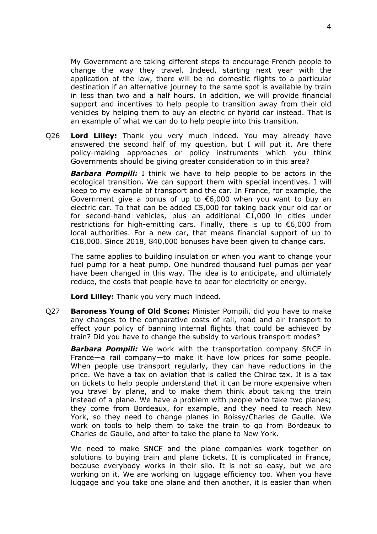My Government are taking different steps to encourage French people to change the way they travel. Indeed, starting next year with the application of the law, there will be no domestic flights to a particular destination if an alternative journey to the same spot is available by train in less than two and a half hours. In addition, we will provide financial support and incentives to help people to transition away from their old vehicles by helping them to buy an electric or hybrid car instead. That is an example of what we can do to help people into this transition.

Q26 **Lord Lilley:** Thank you very much indeed. You may already have answered the second half of my question, but I will put it. Are there policy-making approaches or policy instruments which you think Governments should be giving greater consideration to in this area?

*Barbara Pompili:* I think we have to help people to be actors in the ecological transition. We can support them with special incentives. I will keep to my example of transport and the car. In France, for example, the Government give a bonus of up to €6,000 when you want to buy an electric car. To that can be added €5,000 for taking back your old car or for second-hand vehicles, plus an additional €1,000 in cities under restrictions for high-emitting cars. Finally, there is up to €6,000 from local authorities. For a new car, that means financial support of up to €18,000. Since 2018, 840,000 bonuses have been given to change cars.

The same applies to building insulation or when you want to change your fuel pump for a heat pump. One hundred thousand fuel pumps per year have been changed in this way. The idea is to anticipate, and ultimately reduce, the costs that people have to bear for electricity or energy.

**Lord Lilley:** Thank you very much indeed.

Q27 **Baroness Young of Old Scone:** Minister Pompili, did you have to make any changes to the comparative costs of rail, road and air transport to effect your policy of banning internal flights that could be achieved by train? Did you have to change the subsidy to various transport modes?

*Barbara Pompili:* We work with the transportation company SNCF in France—a rail company—to make it have low prices for some people. When people use transport regularly, they can have reductions in the price. We have a tax on aviation that is called the Chirac tax. It is a tax on tickets to help people understand that it can be more expensive when you travel by plane, and to make them think about taking the train instead of a plane. We have a problem with people who take two planes; they come from Bordeaux, for example, and they need to reach New York, so they need to change planes in Roissy/Charles de Gaulle. We work on tools to help them to take the train to go from Bordeaux to Charles de Gaulle, and after to take the plane to New York.

We need to make SNCF and the plane companies work together on solutions to buying train and plane tickets. It is complicated in France, because everybody works in their silo. It is not so easy, but we are working on it. We are working on luggage efficiency too. When you have luggage and you take one plane and then another, it is easier than when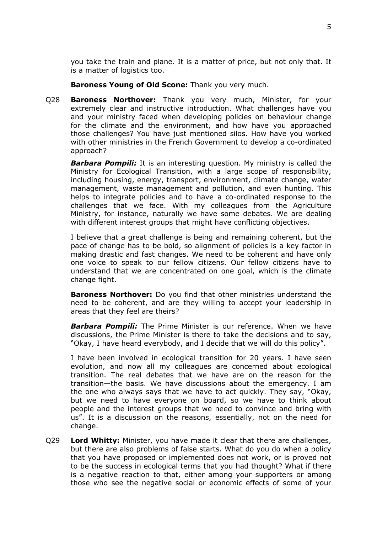you take the train and plane. It is a matter of price, but not only that. It is a matter of logistics too.

**Baroness Young of Old Scone:** Thank you very much.

Q28 **Baroness Northover:** Thank you very much, Minister, for your extremely clear and instructive introduction. What challenges have you and your ministry faced when developing policies on behaviour change for the climate and the environment, and how have you approached those challenges? You have just mentioned silos. How have you worked with other ministries in the French Government to develop a co-ordinated approach?

*Barbara Pompili:* It is an interesting question. My ministry is called the Ministry for Ecological Transition, with a large scope of responsibility, including housing, energy, transport, environment, climate change, water management, waste management and pollution, and even hunting. This helps to integrate policies and to have a co-ordinated response to the challenges that we face. With my colleagues from the Agriculture Ministry, for instance, naturally we have some debates. We are dealing with different interest groups that might have conflicting objectives.

I believe that a great challenge is being and remaining coherent, but the pace of change has to be bold, so alignment of policies is a key factor in making drastic and fast changes. We need to be coherent and have only one voice to speak to our fellow citizens. Our fellow citizens have to understand that we are concentrated on one goal, which is the climate change fight.

**Baroness Northover:** Do you find that other ministries understand the need to be coherent, and are they willing to accept your leadership in areas that they feel are theirs?

*Barbara Pompili:* The Prime Minister is our reference. When we have discussions, the Prime Minister is there to take the decisions and to say, "Okay, I have heard everybody, and I decide that we will do this policy".

I have been involved in ecological transition for 20 years. I have seen evolution, and now all my colleagues are concerned about ecological transition. The real debates that we have are on the reason for the transition—the basis. We have discussions about the emergency. I am the one who always says that we have to act quickly. They say, "Okay, but we need to have everyone on board, so we have to think about people and the interest groups that we need to convince and bring with us". It is a discussion on the reasons, essentially, not on the need for change.

Q29 **Lord Whitty:** Minister, you have made it clear that there are challenges, but there are also problems of false starts. What do you do when a policy that you have proposed or implemented does not work, or is proved not to be the success in ecological terms that you had thought? What if there is a negative reaction to that, either among your supporters or among those who see the negative social or economic effects of some of your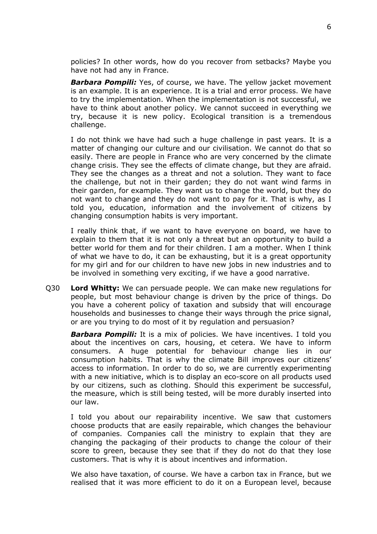policies? In other words, how do you recover from setbacks? Maybe you have not had any in France.

*Barbara Pompili:* Yes, of course, we have. The yellow jacket movement is an example. It is an experience. It is a trial and error process. We have to try the implementation. When the implementation is not successful, we have to think about another policy. We cannot succeed in everything we try, because it is new policy. Ecological transition is a tremendous challenge.

I do not think we have had such a huge challenge in past years. It is a matter of changing our culture and our civilisation. We cannot do that so easily. There are people in France who are very concerned by the climate change crisis. They see the effects of climate change, but they are afraid. They see the changes as a threat and not a solution. They want to face the challenge, but not in their garden; they do not want wind farms in their garden, for example. They want us to change the world, but they do not want to change and they do not want to pay for it. That is why, as I told you, education, information and the involvement of citizens by changing consumption habits is very important.

I really think that, if we want to have everyone on board, we have to explain to them that it is not only a threat but an opportunity to build a better world for them and for their children. I am a mother. When I think of what we have to do, it can be exhausting, but it is a great opportunity for my girl and for our children to have new jobs in new industries and to be involved in something very exciting, if we have a good narrative.

Q30 **Lord Whitty:** We can persuade people. We can make new regulations for people, but most behaviour change is driven by the price of things. Do you have a coherent policy of taxation and subsidy that will encourage households and businesses to change their ways through the price signal, or are you trying to do most of it by regulation and persuasion?

*Barbara Pompili:* It is a mix of policies. We have incentives. I told you about the incentives on cars, housing, et cetera. We have to inform consumers. A huge potential for behaviour change lies in our consumption habits. That is why the climate Bill improves our citizens' access to information. In order to do so, we are currently experimenting with a new initiative, which is to display an eco-score on all products used by our citizens, such as clothing. Should this experiment be successful, the measure, which is still being tested, will be more durably inserted into our law.

I told you about our repairability incentive. We saw that customers choose products that are easily repairable, which changes the behaviour of companies. Companies call the ministry to explain that they are changing the packaging of their products to change the colour of their score to green, because they see that if they do not do that they lose customers. That is why it is about incentives and information.

We also have taxation, of course. We have a carbon tax in France, but we realised that it was more efficient to do it on a European level, because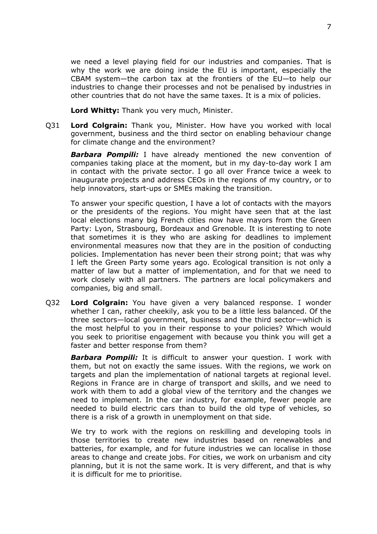we need a level playing field for our industries and companies. That is why the work we are doing inside the EU is important, especially the CBAM system—the carbon tax at the frontiers of the EU—to help our industries to change their processes and not be penalised by industries in other countries that do not have the same taxes. It is a mix of policies.

**Lord Whitty:** Thank you very much, Minister.

Q31 **Lord Colgrain:** Thank you, Minister. How have you worked with local government, business and the third sector on enabling behaviour change for climate change and the environment?

*Barbara Pompili:* I have already mentioned the new convention of companies taking place at the moment, but in my day-to-day work I am in contact with the private sector. I go all over France twice a week to inaugurate projects and address CEOs in the regions of my country, or to help innovators, start-ups or SMEs making the transition.

To answer your specific question, I have a lot of contacts with the mayors or the presidents of the regions. You might have seen that at the last local elections many big French cities now have mayors from the Green Party: Lyon, Strasbourg, Bordeaux and Grenoble. It is interesting to note that sometimes it is they who are asking for deadlines to implement environmental measures now that they are in the position of conducting policies. Implementation has never been their strong point; that was why I left the Green Party some years ago. Ecological transition is not only a matter of law but a matter of implementation, and for that we need to work closely with all partners. The partners are local policymakers and companies, big and small.

Q32 **Lord Colgrain:** You have given a very balanced response. I wonder whether I can, rather cheekily, ask you to be a little less balanced. Of the three sectors—local government, business and the third sector—which is the most helpful to you in their response to your policies? Which would you seek to prioritise engagement with because you think you will get a faster and better response from them?

*Barbara Pompili:* It is difficult to answer your question. I work with them, but not on exactly the same issues. With the regions, we work on targets and plan the implementation of national targets at regional level. Regions in France are in charge of transport and skills, and we need to work with them to add a global view of the territory and the changes we need to implement. In the car industry, for example, fewer people are needed to build electric cars than to build the old type of vehicles, so there is a risk of a growth in unemployment on that side.

We try to work with the regions on reskilling and developing tools in those territories to create new industries based on renewables and batteries, for example, and for future industries we can localise in those areas to change and create jobs. For cities, we work on urbanism and city planning, but it is not the same work. It is very different, and that is why it is difficult for me to prioritise.